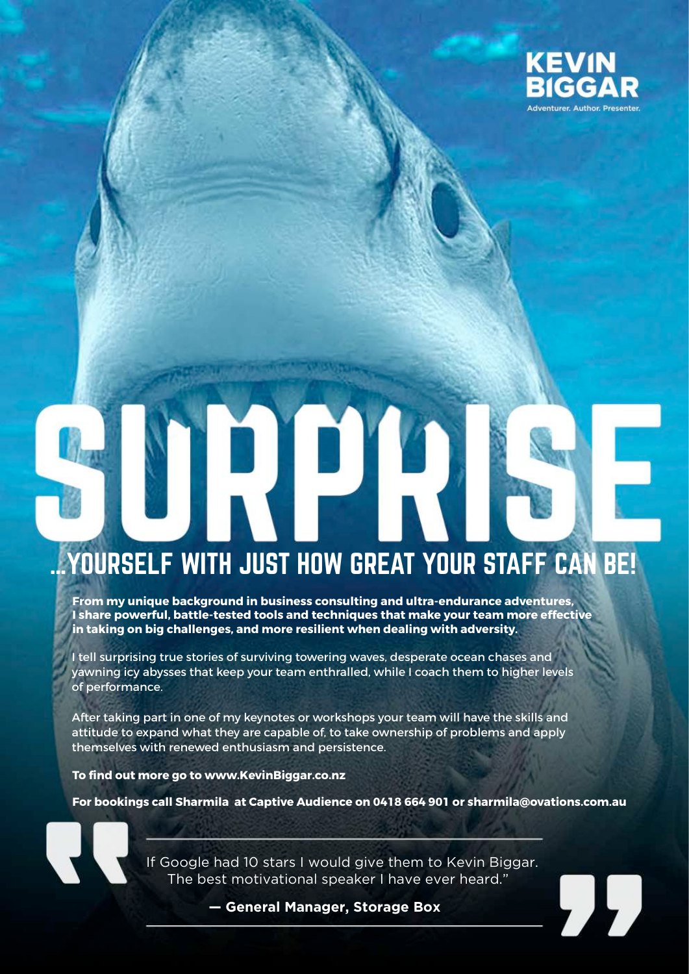

# …YOURSELF WITH JUST HOW GREAT YOUR STAFF CAN BE!

**From my unique background in business consulting and ultra-endurance adventures, I share powerful, battle-tested tools and techniques that make your team more effective in taking on big challenges, and more resilient when dealing with adversity.** 

I tell surprising true stories of surviving towering waves, desperate ocean chases and yawning icy abysses that keep your team enthralled, while I coach them to higher levels of performance.

After taking part in one of my keynotes or workshops your team will have the skills and attitude to expand what they are capable of, to take ownership of problems and apply themselves with renewed enthusiasm and persistence.

**To find out more go to www.KevinBiggar.co.nz** 

**For bookings call Sharmila at Captive Audience on 0418 664 901 or sharmila@ovations.com.au** 

If Google had 10 stars I would give them to Kevin Biggar. The best motivational speaker I have ever heard."

 **— General Manager, Storage Box**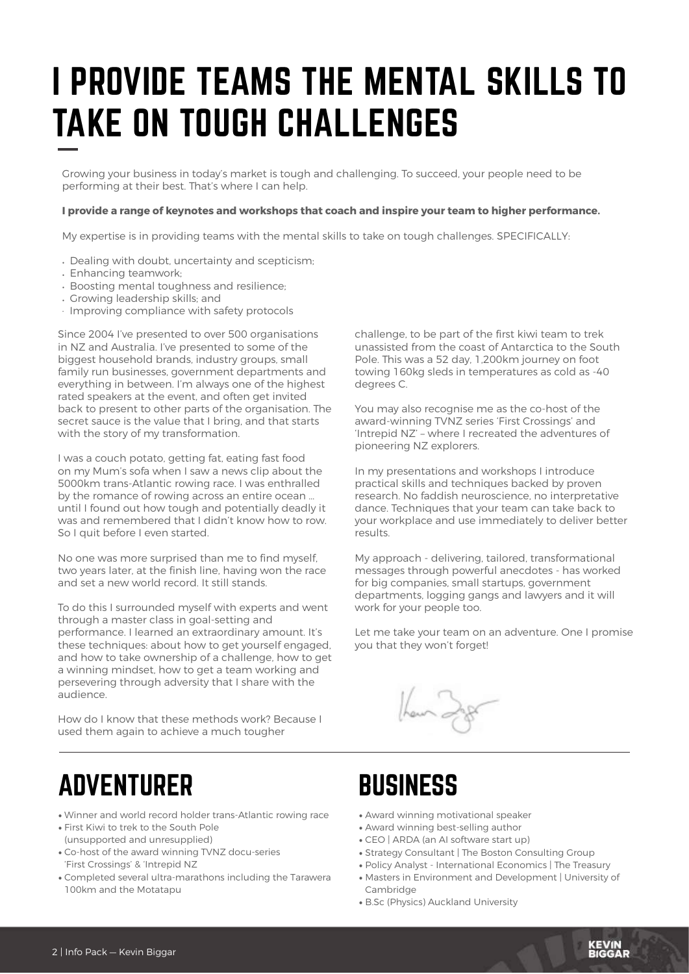## I PROVIDE TEAMS THE MENTAL SKILLS TO TAKE ON TOUGH CHALLENGES

Growing your business in today's market is tough and challenging. To succeed, your people need to be performing at their best. That's where I can help.

#### **I provide a range of keynotes and workshops that coach and inspire your team to higher performance.**

My expertise is in providing teams with the mental skills to take on tough challenges. SPECIFICALLY:

- Dealing with doubt, uncertainty and scepticism;
- Enhancing teamwork;
- Boosting mental toughness and resilience;
- Growing leadership skills; and
- · Improving compliance with safety protocols

Since 2004 I've presented to over 500 organisations in NZ and Australia. I've presented to some of the biggest household brands, industry groups, small family run businesses, government departments and everything in between. I'm always one of the highest rated speakers at the event, and often get invited back to present to other parts of the organisation. The secret sauce is the value that I bring, and that starts with the story of my transformation.

I was a couch potato, getting fat, eating fast food on my Mum's sofa when I saw a news clip about the 5000km trans-Atlantic rowing race. I was enthralled by the romance of rowing across an entire ocean … until I found out how tough and potentially deadly it was and remembered that I didn't know how to row. So I quit before I even started.

No one was more surprised than me to find myself, two years later, at the finish line, having won the race and set a new world record. It still stands.

To do this I surrounded myself with experts and went through a master class in goal-setting and performance. I learned an extraordinary amount. It's these techniques: about how to get yourself engaged, and how to take ownership of a challenge, how to get a winning mindset, how to get a team working and persevering through adversity that I share with the audience.

How do I know that these methods work? Because I used them again to achieve a much tougher

challenge, to be part of the first kiwi team to trek unassisted from the coast of Antarctica to the South Pole. This was a 52 day, 1,200km journey on foot towing 160kg sleds in temperatures as cold as -40 degrees C.

You may also recognise me as the co-host of the award-winning TVNZ series 'First Crossings' and 'Intrepid NZ' – where I recreated the adventures of pioneering NZ explorers.

In my presentations and workshops I introduce practical skills and techniques backed by proven research. No faddish neuroscience, no interpretative dance. Techniques that your team can take back to your workplace and use immediately to deliver better results.

My approach - delivering, tailored, transformational messages through powerful anecdotes - has worked for big companies, small startups, government departments, logging gangs and lawyers and it will work for your people too.

Let me take your team on an adventure. One I promise you that they won't forget!

## **BUSINESS**

- Award winning motivational speaker
- Award winning best-selling author
- CEO | ARDA (an AI software start up)
- Strategy Consultant | The Boston Consulting Group
- Policy Analyst International Economics | The Treasury
- Masters in Environment and Development | University of Cambridge

KEVIN<br>PIGGAP

• B.Sc (Physics) Auckland University

## ADVENTURER

- Winner and world record holder trans-Atlantic rowing race
- First Kiwi to trek to the South Pole (unsupported and unresupplied)
- Co-host of the award winning TVNZ docu-series 'First Crossings' & 'Intrepid NZ
- Completed several ultra-marathons including the Tarawera 100km and the Motatapu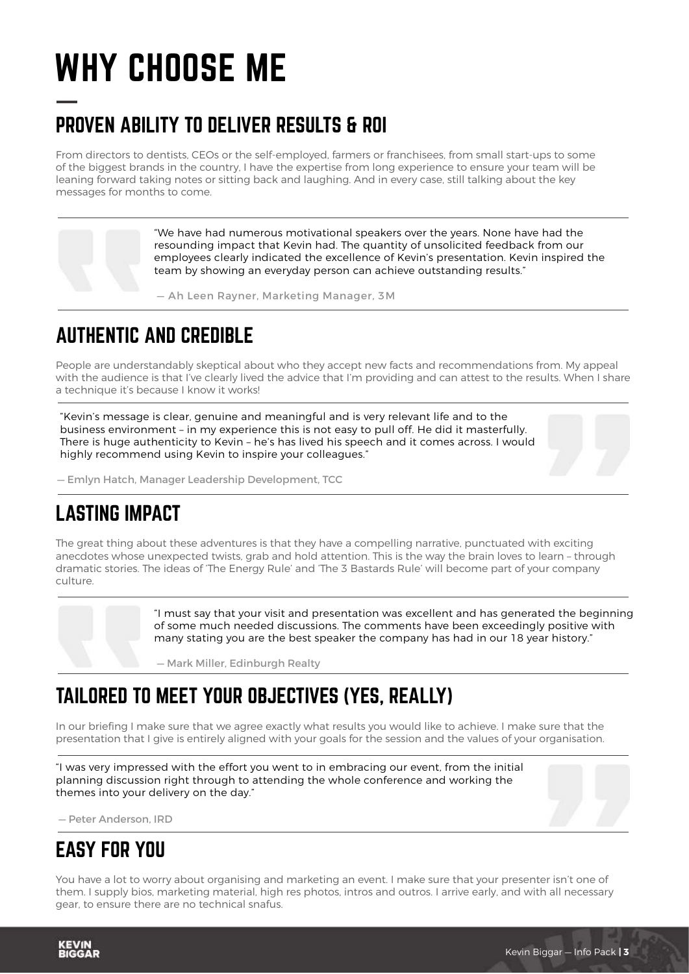## WHY CHOOSE ME

## PROVEN ABILITY TO DELIVER RESULTS & ROI

From directors to dentists, CEOs or the self-employed, farmers or franchisees, from small start-ups to some of the biggest brands in the country, I have the expertise from long experience to ensure your team will be leaning forward taking notes or sitting back and laughing. And in every case, still talking about the key messages for months to come.

> "We have had numerous motivational speakers over the years. None have had the resounding impact that Kevin had. The quantity of unsolicited feedback from our employees clearly indicated the excellence of Kevin's presentation. Kevin inspired the team by showing an everyday person can achieve outstanding results."

— Ah Leen Rayner, Marketing Manager, 3M

### AUTHENTIC AND CREDIBLE

People are understandably skeptical about who they accept new facts and recommendations from. My appeal with the audience is that I've clearly lived the advice that I'm providing and can attest to the results. When I share a technique it's because I know it works!

"Kevin's message is clear, genuine and meaningful and is very relevant life and to the business environment – in my experience this is not easy to pull off. He did it masterfully. There is huge authenticity to Kevin – he's has lived his speech and it comes across. I would highly recommend using Kevin to inspire your colleagues."

— Emlyn Hatch, Manager Leadership Development, TCC

## LASTING IMPACT

The great thing about these adventures is that they have a compelling narrative, punctuated with exciting anecdotes whose unexpected twists, grab and hold attention. This is the way the brain loves to learn – through dramatic stories. The ideas of 'The Energy Rule' and 'The 3 Bastards Rule' will become part of your company culture.

> "I must say that your visit and presentation was excellent and has generated the beginning of some much needed discussions. The comments have been exceedingly positive with many stating you are the best speaker the company has had in our 18 year history."

— Mark Miller, Edinburgh Realty

## TAILORED TO MEET YOUR OBJECTIVES (YES, REALLY)

In our briefing I make sure that we agree exactly what results you would like to achieve. I make sure that the presentation that I give is entirely aligned with your goals for the session and the values of your organisation.

"I was very impressed with the effort you went to in embracing our event, from the initial planning discussion right through to attending the whole conference and working the themes into your delivery on the day."

— Peter Anderson, IRD

## EASY FOR YOU

You have a lot to worry about organising and marketing an event. I make sure that your presenter isn't one of them. I supply bios, marketing material, high res photos, intros and outros. I arrive early, and with all necessary gear, to ensure there are no technical snafus.

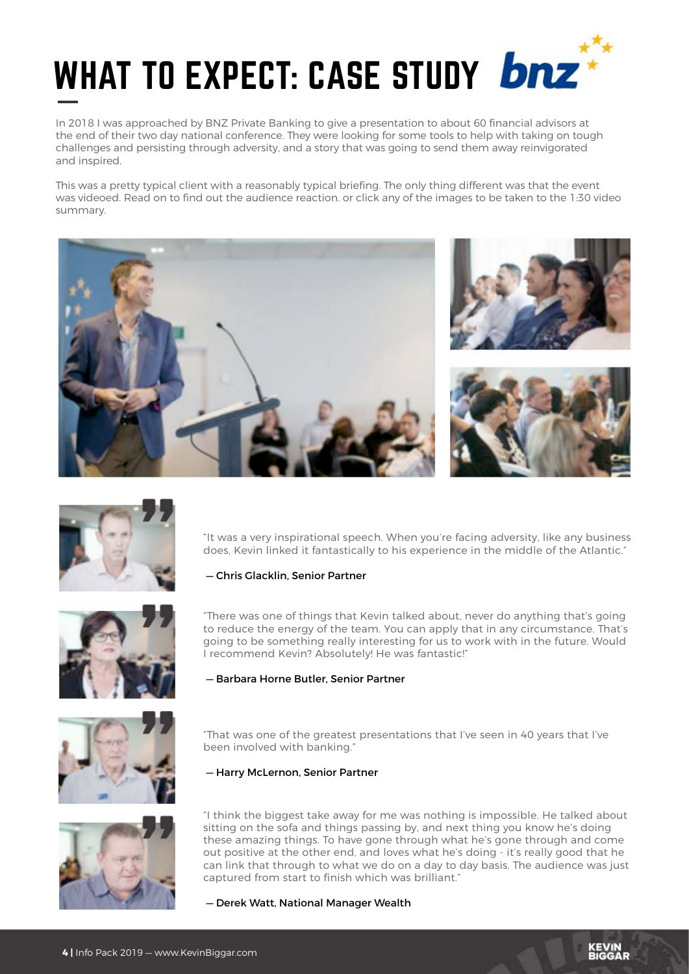

In 2018 I was approached by BNZ Private Banking to give a presentation to about 60 financial advisors at the end of their two day national conference. They were looking for some tools to help with taking on tough challenges and persisting through adversity, and a story that was going to send them away reinvigorated and inspired.

This was a pretty typical client with a reasonably typical briefing. The only thing different was that the event was videoed. Read on to find out the audience reaction. or click any of the images to be taken to the 1:30 video summary.





"It was a very inspirational speech. When you're facing adversity, like any business does, Kevin linked it fantastically to his experience in the middle of the Atlantic."

#### — Chris Glacklin, Senior Partner



"There was one of things that Kevin talked about, never do anything that's going to reduce the energy of the team. You can apply that in any circumstance. That's going to be something really interesting for us to work with in the future. Would I recommend Kevin? Absolutely! He was fantastic!"

#### — Barbara Horne Butler, Senior Partner



"That was one of the greatest presentations that I've seen in 40 years that I've been involved with banking."

#### — Harry McLernon, Senior Partner



"I think the biggest take away for me was nothing is impossible. He talked about sitting on the sofa and things passing by, and next thing you know he's doing these amazing things. To have gone through what he's gone through and come out positive at the other end, and loves what he's doing - it's really good that he can link that through to what we do on a day to day basis. The audience was just captured from start to finish which was brilliant."

— Derek Watt, National Manager Wealth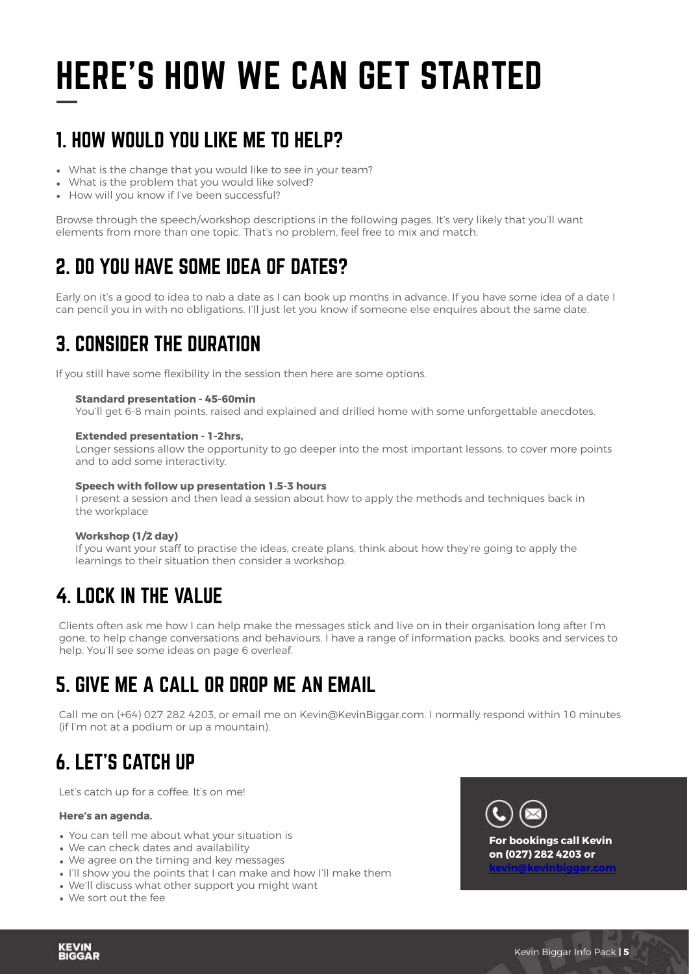## HERE'S HOW WE CAN GET STARTED

## 1. HOW WOULD YOU LIKE ME TO HELP?

- What is the change that you would like to see in your team?
- What is the problem that you would like solved?
- How will you know if I've been successful?

Browse through the speech/workshop descriptions in the following pages. It's very likely that you'll want elements from more than one topic. That's no problem, feel free to mix and match.

## 2. DO YOU HAVE SOME IDEA OF DATES?

Early on it's a good to idea to nab a date as I can book up months in advance. If you have some idea of a date I can pencil you in with no obligations. I'll just let you know if someone else enquires about the same date.

## 3. CONSIDER THE DURATION

If you still have some flexibility in the session then here are some options.

#### **Standard presentation - 45-60min**

You'll get 6-8 main points, raised and explained and drilled home with some unforgettable anecdotes.

#### **Extended presentation - 1-2hrs,**

Longer sessions allow the opportunity to go deeper into the most important lessons, to cover more points and to add some interactivity.

#### **Speech with follow up presentation 1.5-3 hours**

I present a session and then lead a session about how to apply the methods and techniques back in the workplace

#### **Workshop (1/2 day)**

If you want your staff to practise the ideas, create plans, think about how they're going to apply the learnings to their situation then consider a workshop.

## 4. LOCK IN THE VALUE

Clients often ask me how I can help make the messages stick and live on in their organisation long after I'm gone, to help change conversations and behaviours. I have a range of information packs, books and services to help. You'll see some ideas on page 6 overleaf.

## 5. GIVE ME A CALL OR DROP ME AN EMAIL

Call me on (+64) 027 282 4203, or email me on Kevin@KevinBiggar.com. I normally respond within 10 minutes (if I'm not at a podium or up a mountain).

## 6. LET'S CATCH UP

Let's catch up for a coffee. It's on me!

#### **Here's an agenda.**

- You can tell me about what your situation is
- We can check dates and availability
- We agree on the timing and key messages
- I'll show you the points that I can make and how I'll make them
- We'll discuss what other support you might want
- We sort out the fee

**KEVIN**<br>BIGGAR

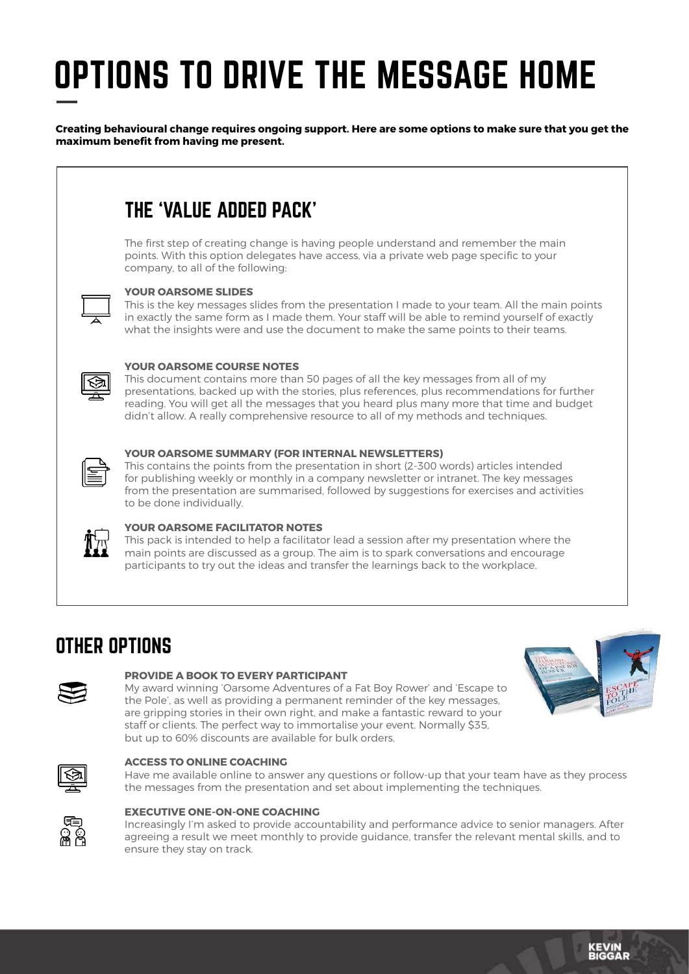## OPTIONS TO DRIVE THE MESSAGE HOME

**Creating behavioural change requires ongoing support. Here are some options to make sure that you get the maximum benefit from having me present.** 

## THE 'VALUE ADDED PACK'

The first step of creating change is having people understand and remember the main points. With this option delegates have access, via a private web page specific to your company, to all of the following:



#### **YOUR OARSOME SLIDES**

This is the key messages slides from the presentation I made to your team. All the main points in exactly the same form as I made them. Your staff will be able to remind yourself of exactly what the insights were and use the document to make the same points to their teams.



#### **YOUR OARSOME COURSE NOTES**

This document contains more than 50 pages of all the key messages from all of my presentations, backed up with the stories, plus references, plus recommendations for further reading. You will get all the messages that you heard plus many more that time and budget didn't allow. A really comprehensive resource to all of my methods and techniques.



#### **YOUR OARSOME SUMMARY (FOR INTERNAL NEWSLETTERS)**

This contains the points from the presentation in short (2-300 words) articles intended for publishing weekly or monthly in a company newsletter or intranet. The key messages from the presentation are summarised, followed by suggestions for exercises and activities to be done individually.



#### **YOUR OARSOME FACILITATOR NOTES**

This pack is intended to help a facilitator lead a session after my presentation where the main points are discussed as a group. The aim is to spark conversations and encourage participants to try out the ideas and transfer the learnings back to the workplace.

### OTHER OPTIONS



#### **PROVIDE A BOOK TO EVERY PARTICIPANT**

My award winning 'Oarsome Adventures of a Fat Boy Rower' and 'Escape to the Pole', as well as providing a permanent reminder of the key messages, are gripping stories in their own right, and make a fantastic reward to your staff or clients. The perfect way to immortalise your event. Normally \$35, but up to 60% discounts are available for bulk orders.





#### **ACCESS TO ONLINE COACHING**

Have me available online to answer any questions or follow-up that your team have as they process the messages from the presentation and set about implementing the techniques.



#### **EXECUTIVE ONE-ON-ONE COACHING**

Increasingly I'm asked to provide accountability and performance advice to senior managers. After agreeing a result we meet monthly to provide guidance, transfer the relevant mental skills, and to ensure they stay on track.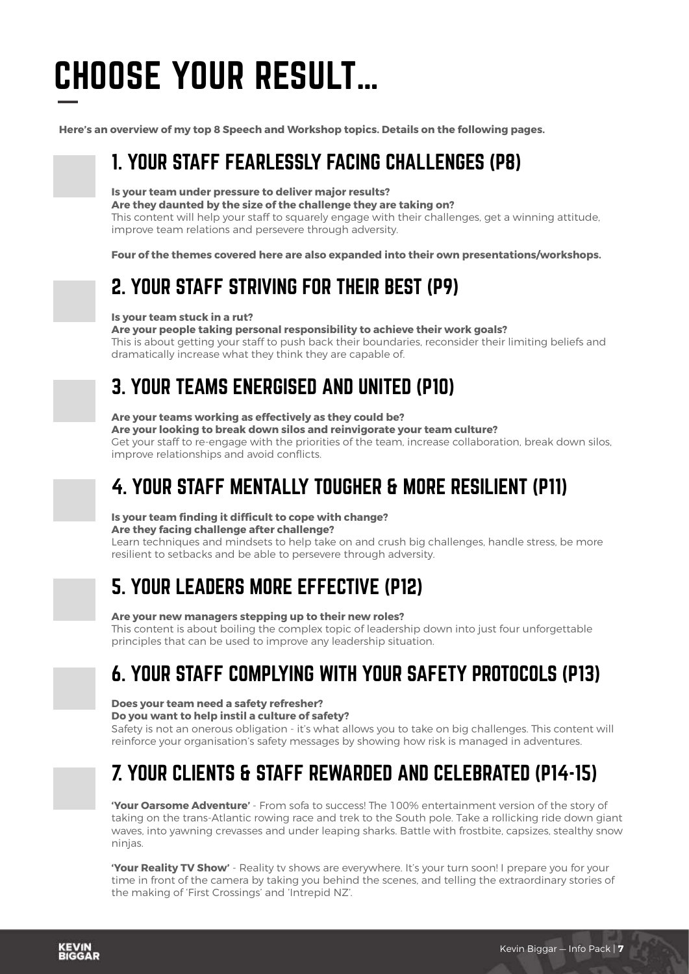## CHOOSE YOUR RESULT…

**Here's an overview of my top 8 Speech and Workshop topics. Details on the following pages.** 

## 1. YOUR STAFF FEARLESSLY FACING CHALLENGES (P8)

#### **Is your team under pressure to deliver major results?**

#### **Are they daunted by the size of the challenge they are taking on?**

This content will help your staff to squarely engage with their challenges, get a winning attitude, improve team relations and persevere through adversity.

**Four of the themes covered here are also expanded into their own presentations/workshops.** 

## 2. YOUR STAFF STRIVING FOR THEIR BEST (P9)

#### **Is your team stuck in a rut?**

#### **Are your people taking personal responsibility to achieve their work goals?**

This is about getting your staff to push back their boundaries, reconsider their limiting beliefs and dramatically increase what they think they are capable of.

## 3. YOUR TEAMS ENERGISED AND UNITED (P10)

#### **Are your teams working as effectively as they could be?**

**Are your looking to break down silos and reinvigorate your team culture?** 

Get your staff to re-engage with the priorities of the team, increase collaboration, break down silos, improve relationships and avoid conflicts.

## 4. YOUR STAFF MENTALLY TOUGHER & MORE RESILIENT (P11)

#### **Is your team finding it difficult to cope with change?**

#### **Are they facing challenge after challenge?**

Learn techniques and mindsets to help take on and crush big challenges, handle stress, be more resilient to setbacks and be able to persevere through adversity.

## 5. YOUR LEADERS MORE EFFECTIVE (P12)

#### **Are your new managers stepping up to their new roles?**

This content is about boiling the complex topic of leadership down into just four unforgettable principles that can be used to improve any leadership situation.

## 6. YOUR STAFF COMPLYING WITH YOUR SAFETY PROTOCOLS (P13)

#### **Does your team need a safety refresher?**

#### **Do you want to help instil a culture of safety?**

Safety is not an onerous obligation - it's what allows you to take on big challenges. This content will reinforce your organisation's safety messages by showing how risk is managed in adventures.

### 7. YOUR CLIENTS & STAFF REWARDED AND CELEBRATED (P14-15)

**'Your Oarsome Adventure'** - From sofa to success! The 100% entertainment version of the story of taking on the trans-Atlantic rowing race and trek to the South pole. Take a rollicking ride down giant waves, into yawning crevasses and under leaping sharks. Battle with frostbite, capsizes, stealthy snow ninjas.

**'Your Reality TV Show'** - Reality tv shows are everywhere. It's your turn soon! I prepare you for your time in front of the camera by taking you behind the scenes, and telling the extraordinary stories of the making of 'First Crossings' and 'Intrepid NZ'.

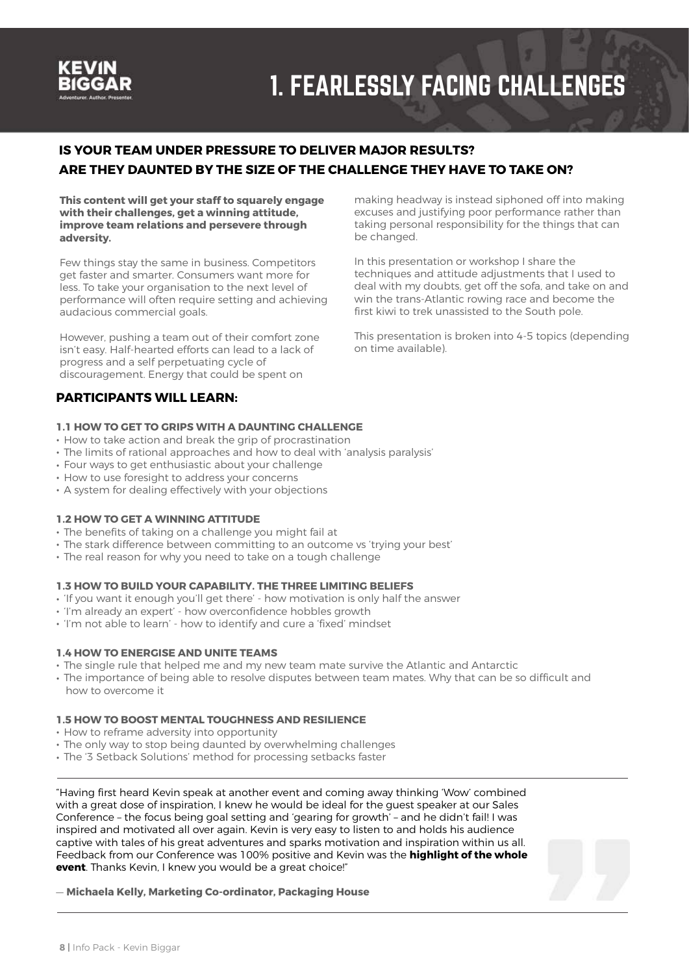

## 1. FEARLESSLY FACING CHALLENGES

#### **IS YOUR TEAM UNDER PRESSURE TO DELIVER MAJOR RESULTS? ARE THEY DAUNTED BY THE SIZE OF THE CHALLENGE THEY HAVE TO TAKE ON?**

**This content will get your staff to squarely engage with their challenges, get a winning attitude, improve team relations and persevere through adversity.** 

Few things stay the same in business. Competitors get faster and smarter. Consumers want more for less. To take your organisation to the next level of performance will often require setting and achieving audacious commercial goals.

However, pushing a team out of their comfort zone isn't easy. Half-hearted efforts can lead to a lack of progress and a self perpetuating cycle of discouragement. Energy that could be spent on

#### **PARTICIPANTS WILL LEARN:**

#### **1.1 HOW TO GET TO GRIPS WITH A DAUNTING CHALLENGE**

- How to take action and break the grip of procrastination
- The limits of rational approaches and how to deal with 'analysis paralysis'
- Four ways to get enthusiastic about your challenge
- How to use foresight to address your concerns
- A system for dealing effectively with your objections

#### **1.2 HOW TO GET A WINNING ATTITUDE**

- The benefits of taking on a challenge you might fail at
- The stark difference between committing to an outcome vs 'trying your best'
- The real reason for why you need to take on a tough challenge

#### **1.3 HOW TO BUILD YOUR CAPABILITY. THE THREE LIMITING BELIEFS**

- 'If you want it enough you'll get there' how motivation is only half the answer
- 'I'm already an expert' how overconfidence hobbles growth
- 'I'm not able to learn' how to identify and cure a 'fixed' mindset

#### **1.4 HOW TO ENERGISE AND UNITE TEAMS**

- The single rule that helped me and my new team mate survive the Atlantic and Antarctic
- The importance of being able to resolve disputes between team mates. Why that can be so difficult and how to overcome it

#### **1.5 HOW TO BOOST MENTAL TOUGHNESS AND RESILIENCE**

- How to reframe adversity into opportunity
- The only way to stop being daunted by overwhelming challenges
- The '3 Setback Solutions' method for processing setbacks faster

"Having first heard Kevin speak at another event and coming away thinking 'Wow' combined with a great dose of inspiration, I knew he would be ideal for the guest speaker at our Sales Conference – the focus being goal setting and 'gearing for growth' – and he didn't fail! I was inspired and motivated all over again. Kevin is very easy to listen to and holds his audience captive with tales of his great adventures and sparks motivation and inspiration within us all. Feedback from our Conference was 100% positive and Kevin was the **highlight of the whole event**. Thanks Kevin, I knew you would be a great choice!"



making headway is instead siphoned off into making excuses and justifying poor performance rather than taking personal responsibility for the things that can be changed.

In this presentation or workshop I share the techniques and attitude adjustments that I used to deal with my doubts, get off the sofa, and take on and win the trans-Atlantic rowing race and become the first kiwi to trek unassisted to the South pole.

This presentation is broken into 4-5 topics (depending on time available).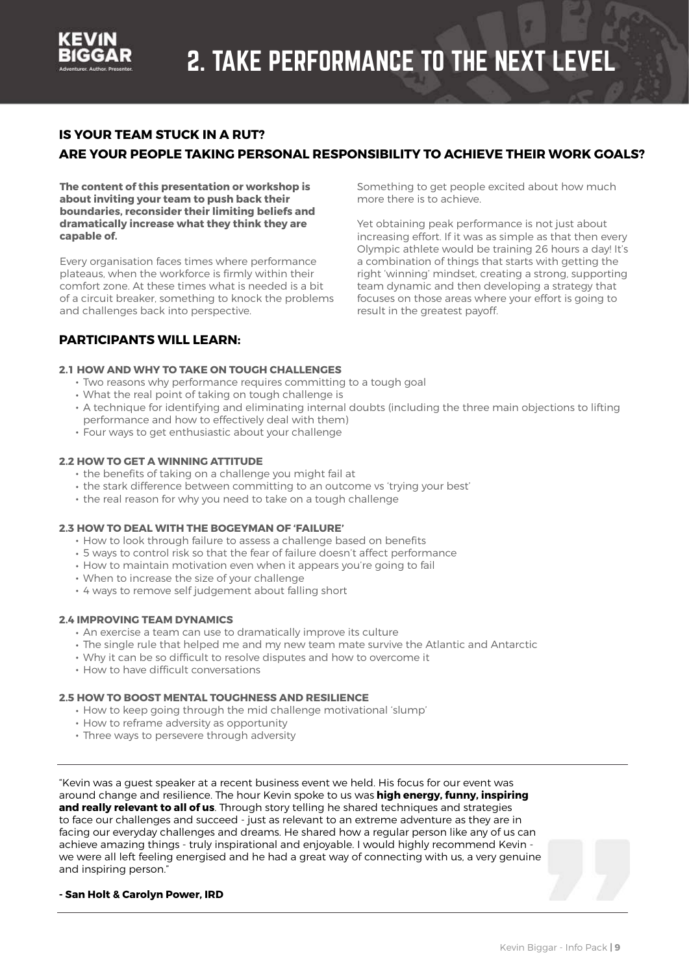

more there is to achieve.

result in the greatest payoff.

Something to get people excited about how much

Yet obtaining peak performance is not just about increasing effort. If it was as simple as that then every Olympic athlete would be training 26 hours a day! It's a combination of things that starts with getting the right 'winning' mindset, creating a strong, supporting team dynamic and then developing a strategy that focuses on those areas where your effort is going to

#### **IS YOUR TEAM STUCK IN A RUT?**

#### **ARE YOUR PEOPLE TAKING PERSONAL RESPONSIBILITY TO ACHIEVE THEIR WORK GOALS?**

**The content of this presentation or workshop is about inviting your team to push back their boundaries, reconsider their limiting beliefs and dramatically increase what they think they are capable of.** 

Every organisation faces times where performance plateaus, when the workforce is firmly within their comfort zone. At these times what is needed is a bit of a circuit breaker, something to knock the problems and challenges back into perspective.

#### **PARTICIPANTS WILL LEARN:**

#### **2.1 HOW AND WHY TO TAKE ON TOUGH CHALLENGES**

- Two reasons why performance requires committing to a tough goal
- What the real point of taking on tough challenge is
- A technique for identifying and eliminating internal doubts (including the three main objections to lifting performance and how to effectively deal with them)
- Four ways to get enthusiastic about your challenge

#### **2.2 HOW TO GET A WINNING ATTITUDE**

- the benefits of taking on a challenge you might fail at
- the stark difference between committing to an outcome vs 'trying your best'
- the real reason for why you need to take on a tough challenge

#### **2.3 HOW TO DEAL WITH THE BOGEYMAN OF 'FAILURE'**

- How to look through failure to assess a challenge based on benefits
- 5 ways to control risk so that the fear of failure doesn't affect performance
- How to maintain motivation even when it appears you're going to fail
- When to increase the size of your challenge
- 4 ways to remove self judgement about falling short

#### **2.4 IMPROVING TEAM DYNAMICS**

- An exercise a team can use to dramatically improve its culture
- The single rule that helped me and my new team mate survive the Atlantic and Antarctic
- Why it can be so difficult to resolve disputes and how to overcome it
- How to have difficult conversations

#### **2.5 HOW TO BOOST MENTAL TOUGHNESS AND RESILIENCE**

- How to keep going through the mid challenge motivational 'slump'
- How to reframe adversity as opportunity
- Three ways to persevere through adversity

"Kevin was a guest speaker at a recent business event we held. His focus for our event was around change and resilience. The hour Kevin spoke to us was **high energy, funny, inspiring and really relevant to all of us**. Through story telling he shared techniques and strategies to face our challenges and succeed - just as relevant to an extreme adventure as they are in facing our everyday challenges and dreams. He shared how a regular person like any of us can achieve amazing things - truly inspirational and enjoyable. I would highly recommend Kevin we were all left feeling energised and he had a great way of connecting with us, a very genuine and inspiring person."

#### **- San Holt & Carolyn Power, IRD**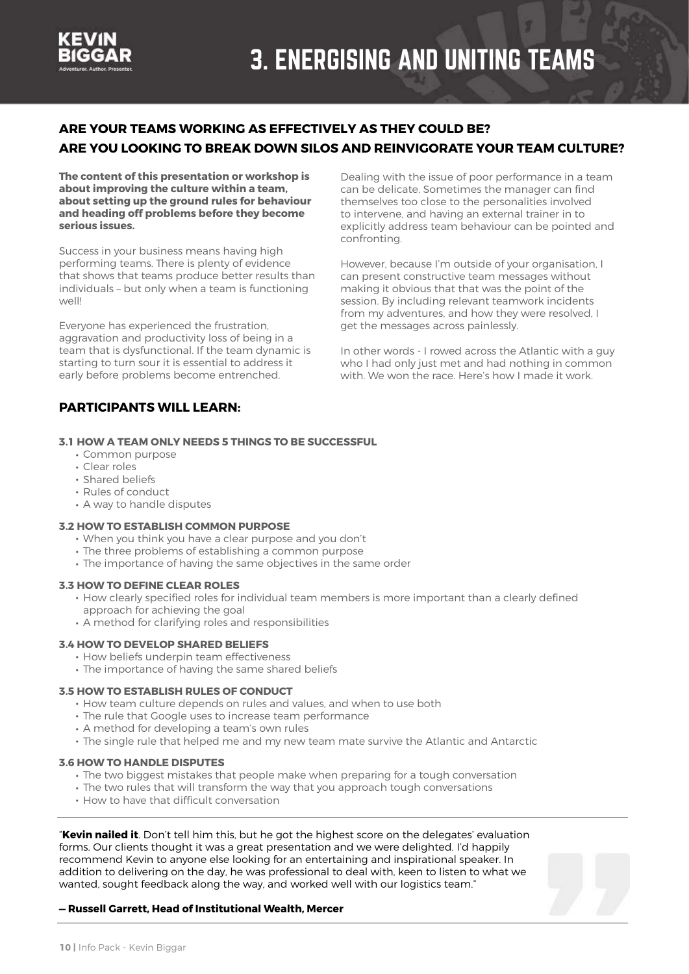

#### **ARE YOUR TEAMS WORKING AS EFFECTIVELY AS THEY COULD BE? ARE YOU LOOKING TO BREAK DOWN SILOS AND REINVIGORATE YOUR TEAM CULTURE?**

**The content of this presentation or workshop is about improving the culture within a team, about setting up the ground rules for behaviour and heading off problems before they become serious issues.** 

Success in your business means having high performing teams. There is plenty of evidence that shows that teams produce better results than individuals – but only when a team is functioning well!

Everyone has experienced the frustration, aggravation and productivity loss of being in a team that is dysfunctional. If the team dynamic is starting to turn sour it is essential to address it early before problems become entrenched.

Dealing with the issue of poor performance in a team can be delicate. Sometimes the manager can find themselves too close to the personalities involved to intervene, and having an external trainer in to explicitly address team behaviour can be pointed and confronting.

However, because I'm outside of your organisation, I can present constructive team messages without making it obvious that that was the point of the session. By including relevant teamwork incidents from my adventures, and how they were resolved, I get the messages across painlessly.

In other words - I rowed across the Atlantic with a guy who I had only just met and had nothing in common with. We won the race. Here's how I made it work.

#### **PARTICIPANTS WILL LEARN:**

#### **3.1 HOW A TEAM ONLY NEEDS 5 THINGS TO BE SUCCESSFUL**

- Common purpose
- Clear roles
- Shared beliefs
- Rules of conduct
- A way to handle disputes

#### **3.2 HOW TO ESTABLISH COMMON PURPOSE**

- When you think you have a clear purpose and you don't
- The three problems of establishing a common purpose
- The importance of having the same objectives in the same order

#### **3.3 HOW TO DEFINE CLEAR ROLES**

- How clearly specified roles for individual team members is more important than a clearly defined approach for achieving the goal
- A method for clarifying roles and responsibilities

#### **3.4 HOW TO DEVELOP SHARED BELIEFS**

- How beliefs underpin team effectiveness
- The importance of having the same shared beliefs

#### **3.5 HOW TO ESTABLISH RULES OF CONDUCT**

- How team culture depends on rules and values, and when to use both
- The rule that Google uses to increase team performance
- A method for developing a team's own rules
- The single rule that helped me and my new team mate survive the Atlantic and Antarctic

#### **3.6 HOW TO HANDLE DISPUTES**

- The two biggest mistakes that people make when preparing for a tough conversation
- The two rules that will transform the way that you approach tough conversations
- How to have that difficult conversation

"**Kevin nailed it**. Don't tell him this, but he got the highest score on the delegates' evaluation forms. Our clients thought it was a great presentation and we were delighted. I'd happily recommend Kevin to anyone else looking for an entertaining and inspirational speaker. In addition to delivering on the day, he was professional to deal with, keen to listen to what we wanted, sought feedback along the way, and worked well with our logistics team."

#### **— Russell Garrett, Head of Institutional Wealth, Mercer**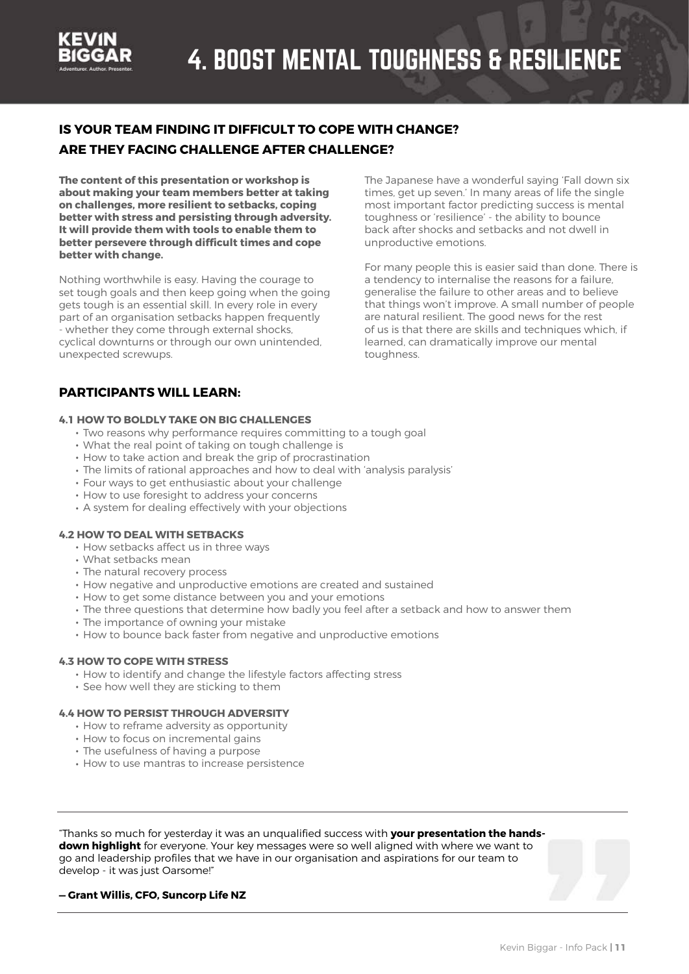

#### **IS YOUR TEAM FINDING IT DIFFICULT TO COPE WITH CHANGE? ARE THEY FACING CHALLENGE AFTER CHALLENGE?**

**The content of this presentation or workshop is about making your team members better at taking on challenges, more resilient to setbacks, coping better with stress and persisting through adversity. It will provide them with tools to enable them to better persevere through difficult times and cope better with change.** 

Nothing worthwhile is easy. Having the courage to set tough goals and then keep going when the going gets tough is an essential skill. In every role in every part of an organisation setbacks happen frequently - whether they come through external shocks, cyclical downturns or through our own unintended, unexpected screwups.

The Japanese have a wonderful saying 'Fall down six times, get up seven.' In many areas of life the single most important factor predicting success is mental toughness or 'resilience' - the ability to bounce back after shocks and setbacks and not dwell in unproductive emotions.

For many people this is easier said than done. There is a tendency to internalise the reasons for a failure, generalise the failure to other areas and to believe that things won't improve. A small number of people are natural resilient. The good news for the rest of us is that there are skills and techniques which, if learned, can dramatically improve our mental toughness.

#### **PARTICIPANTS WILL LEARN:**

#### **4.1 HOW TO BOLDLY TAKE ON BIG CHALLENGES**

- Two reasons why performance requires committing to a tough goal
- What the real point of taking on tough challenge is
- How to take action and break the grip of procrastination
- The limits of rational approaches and how to deal with 'analysis paralysis'
- Four ways to get enthusiastic about your challenge
- How to use foresight to address your concerns
- A system for dealing effectively with your objections

#### **4.2 HOW TO DEAL WITH SETBACKS**

- How setbacks affect us in three ways
- What setbacks mean
- The natural recovery process
- How negative and unproductive emotions are created and sustained
- How to get some distance between you and your emotions
- The three questions that determine how badly you feel after a setback and how to answer them
- The importance of owning your mistake
- How to bounce back faster from negative and unproductive emotions

#### **4.3 HOW TO COPE WITH STRESS**

- How to identify and change the lifestyle factors affecting stress
- See how well they are sticking to them

#### **4.4 HOW TO PERSIST THROUGH ADVERSITY**

- How to reframe adversity as opportunity
- How to focus on incremental gains
- The usefulness of having a purpose
- How to use mantras to increase persistence

"Thanks so much for yesterday it was an unqualified success with **your presentation the handsdown highlight** for everyone. Your key messages were so well aligned with where we want to go and leadership profiles that we have in our organisation and aspirations for our team to develop - it was just Oarsome!"

#### **— Grant Willis, CFO, Suncorp Life NZ**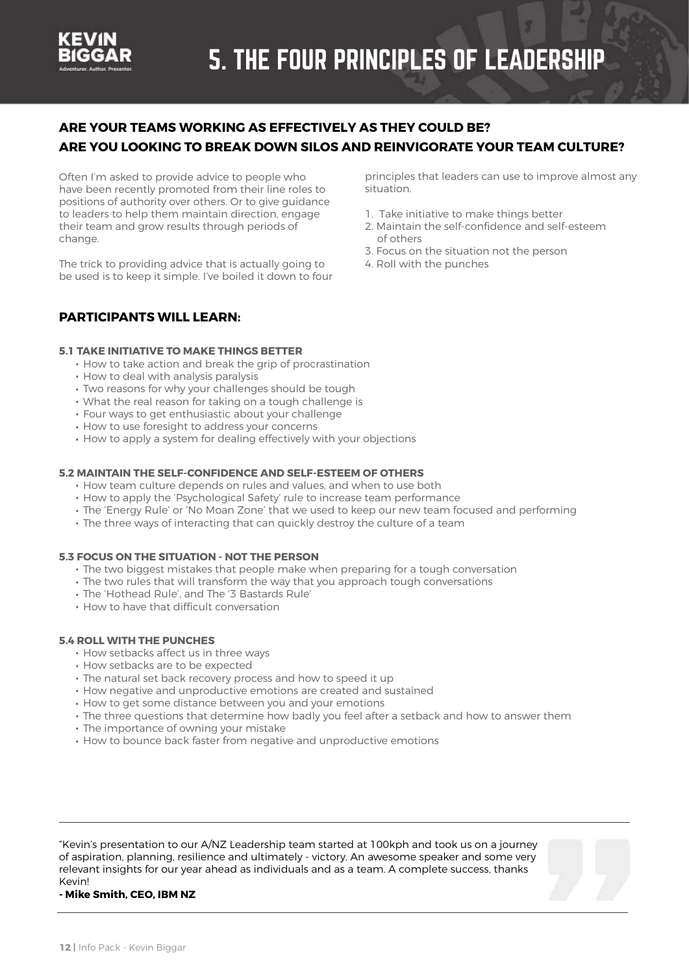

#### **ARE YOUR TEAMS WORKING AS EFFECTIVELY AS THEY COULD BE? ARE YOU LOOKING TO BREAK DOWN SILOS AND REINVIGORATE YOUR TEAM CULTURE?**

Often I'm asked to provide advice to people who have been recently promoted from their line roles to positions of authority over others. Or to give guidance to leaders to help them maintain direction, engage their team and grow results through periods of change.

The trick to providing advice that is actually going to be used is to keep it simple. I've boiled it down to four

**PARTICIPANTS WILL LEARN:** 

**5.1 TAKE INITIATIVE TO MAKE THINGS BETTER** 

- How to take action and break the grip of procrastination
- How to deal with analysis paralysis
- Two reasons for why your challenges should be tough
- What the real reason for taking on a tough challenge is
- Four ways to get enthusiastic about your challenge
- How to use foresight to address your concerns
- How to apply a system for dealing effectively with your objections

#### **5.2 MAINTAIN THE SELF-CONFIDENCE AND SELF-ESTEEM OF OTHERS**

- How team culture depends on rules and values, and when to use both
- How to apply the 'Psychological Safety' rule to increase team performance
- The 'Energy Rule' or 'No Moan Zone' that we used to keep our new team focused and performing
- The three ways of interacting that can quickly destroy the culture of a team

#### **5.3 FOCUS ON THE SITUATION - NOT THE PERSON**

- The two biggest mistakes that people make when preparing for a tough conversation
- The two rules that will transform the way that you approach tough conversations
- The 'Hothead Rule', and The '3 Bastards Rule'
- How to have that difficult conversation

#### **5.4 ROLL WITH THE PUNCHES**

- How setbacks affect us in three ways
- How setbacks are to be expected
- The natural set back recovery process and how to speed it up
- How negative and unproductive emotions are created and sustained
- How to get some distance between you and your emotions
- The three questions that determine how badly you feel after a setback and how to answer them
- The importance of owning your mistake
- How to bounce back faster from negative and unproductive emotions

"Kevin's presentation to our A/NZ Leadership team started at 100kph and took us on a journey of aspiration, planning, resilience and ultimately - victory. An awesome speaker and some very relevant insights for our year ahead as individuals and as a team. A complete success, thanks Kevin!

**- Mike Smith, CEO, IBM NZ**

principles that leaders can use to improve almost any situation.

- 1. Take initiative to make things better
- 2. Maintain the self-confidence and self-esteem of others
- 3. Focus on the situation not the person
- 4. Roll with the punches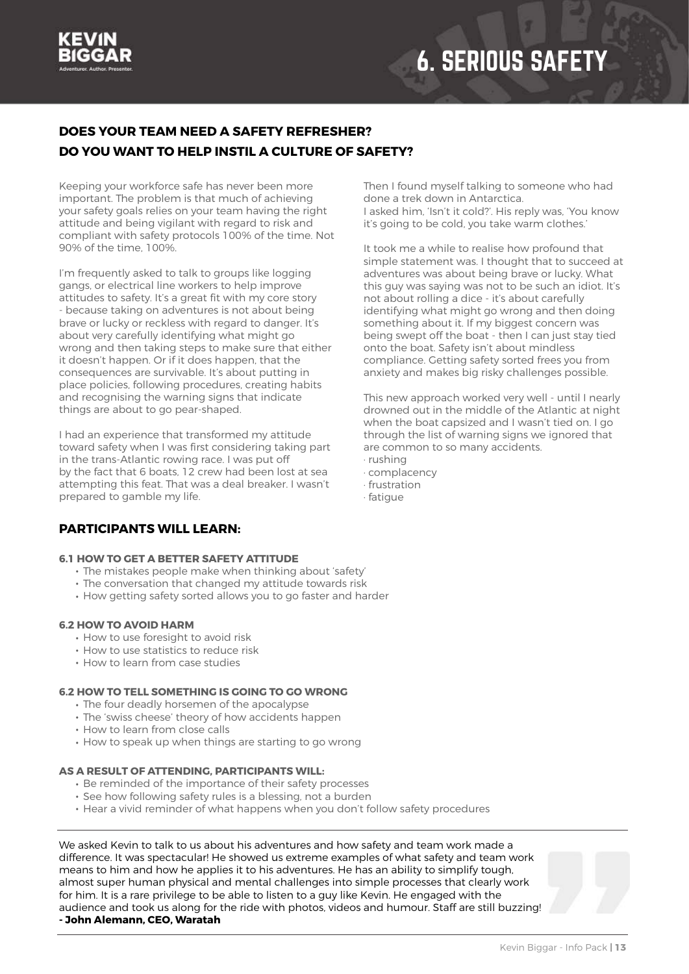

## 6. SERIOUS SAFETY

#### **DOES YOUR TEAM NEED A SAFETY REFRESHER? DO YOU WANT TO HELP INSTIL A CULTURE OF SAFETY?**

Keeping your workforce safe has never been more important. The problem is that much of achieving your safety goals relies on your team having the right attitude and being vigilant with regard to risk and compliant with safety protocols 100% of the time. Not 90% of the time, 100%.

I'm frequently asked to talk to groups like logging gangs, or electrical line workers to help improve attitudes to safety. It's a great fit with my core story - because taking on adventures is not about being brave or lucky or reckless with regard to danger. It's about very carefully identifying what might go wrong and then taking steps to make sure that either it doesn't happen. Or if it does happen, that the consequences are survivable. It's about putting in place policies, following procedures, creating habits and recognising the warning signs that indicate things are about to go pear-shaped.

I had an experience that transformed my attitude toward safety when I was first considering taking part in the trans-Atlantic rowing race. I was put off by the fact that 6 boats, 12 crew had been lost at sea attempting this feat. That was a deal breaker. I wasn't prepared to gamble my life.

#### **PARTICIPANTS WILL LEARN:**

#### **6.1 HOW TO GET A BETTER SAFETY ATTITUDE**

- The mistakes people make when thinking about 'safety'
- The conversation that changed my attitude towards risk
- How getting safety sorted allows you to go faster and harder

#### **6.2 HOW TO AVOID HARM**

- How to use foresight to avoid risk
- How to use statistics to reduce risk
- How to learn from case studies

#### **6.2 HOW TO TELL SOMETHING IS GOING TO GO WRONG**

- The four deadly horsemen of the apocalypse
- The 'swiss cheese' theory of how accidents happen
- How to learn from close calls
- How to speak up when things are starting to go wrong

#### **AS A RESULT OF ATTENDING, PARTICIPANTS WILL:**

- Be reminded of the importance of their safety processes
- See how following safety rules is a blessing, not a burden
- Hear a vivid reminder of what happens when you don't follow safety procedures

We asked Kevin to talk to us about his adventures and how safety and team work made a difference. It was spectacular! He showed us extreme examples of what safety and team work means to him and how he applies it to his adventures. He has an ability to simplify tough, almost super human physical and mental challenges into simple processes that clearly work for him. It is a rare privilege to be able to listen to a guy like Kevin. He engaged with the audience and took us along for the ride with photos, videos and humour. Staff are still buzzing! **- John Alemann, CEO, Waratah** 



Then I found myself talking to someone who had done a trek down in Antarctica. I asked him, 'Isn't it cold?'. His reply was, 'You know it's going to be cold, you take warm clothes.'

It took me a while to realise how profound that simple statement was. I thought that to succeed at adventures was about being brave or lucky. What this guy was saying was not to be such an idiot. It's not about rolling a dice - it's about carefully identifying what might go wrong and then doing something about it. If my biggest concern was being swept off the boat - then I can just stay tied onto the boat. Safety isn't about mindless compliance. Getting safety sorted frees you from anxiety and makes big risky challenges possible.

This new approach worked very well - until I nearly drowned out in the middle of the Atlantic at night when the boat capsized and I wasn't tied on. I go through the list of warning signs we ignored that are common to so many accidents. · rushing

- 
- · complacency · frustration
- · fatigue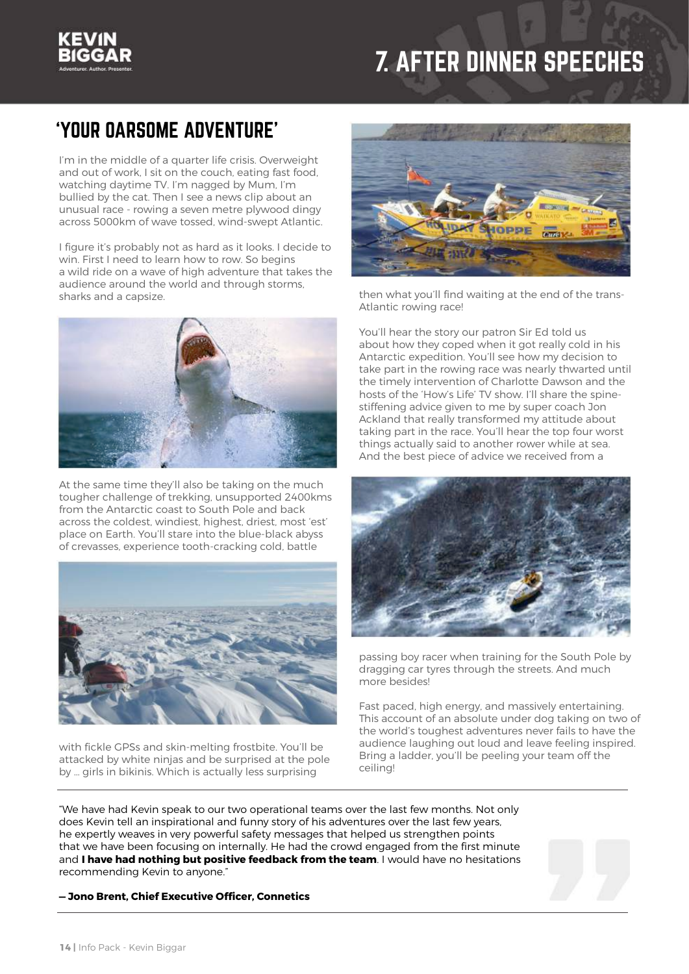## 7. AFTER DINNER SPEECHES

## 'YOUR OARSOME ADVENTURE'

I'm in the middle of a quarter life crisis. Overweight and out of work, I sit on the couch, eating fast food, watching daytime TV. I'm nagged by Mum, I'm bullied by the cat. Then I see a news clip about an unusual race - rowing a seven metre plywood dingy across 5000km of wave tossed, wind-swept Atlantic.

I figure it's probably not as hard as it looks. I decide to win. First I need to learn how to row. So begins a wild ride on a wave of high adventure that takes the audience around the world and through storms, sharks and a capsize.



At the same time they'll also be taking on the much tougher challenge of trekking, unsupported 2400kms from the Antarctic coast to South Pole and back across the coldest, windiest, highest, driest, most 'est' place on Earth. You'll stare into the blue-black abyss of crevasses, experience tooth-cracking cold, battle



with fickle GPSs and skin-melting frostbite. You'll be attacked by white ninjas and be surprised at the pole by … girls in bikinis. Which is actually less surprising



then what you'll find waiting at the end of the trans-Atlantic rowing race!

You'll hear the story our patron Sir Ed told us about how they coped when it got really cold in his Antarctic expedition. You'll see how my decision to take part in the rowing race was nearly thwarted until the timely intervention of Charlotte Dawson and the hosts of the 'How's Life' TV show. I'll share the spinestiffening advice given to me by super coach Jon Ackland that really transformed my attitude about taking part in the race. You'll hear the top four worst things actually said to another rower while at sea. And the best piece of advice we received from a



passing boy racer when training for the South Pole by dragging car tyres through the streets. And much more besides!

Fast paced, high energy, and massively entertaining. This account of an absolute under dog taking on two of the world's toughest adventures never fails to have the audience laughing out loud and leave feeling inspired. Bring a ladder, you'll be peeling your team off the ceiling!

"We have had Kevin speak to our two operational teams over the last few months. Not only does Kevin tell an inspirational and funny story of his adventures over the last few years, he expertly weaves in very powerful safety messages that helped us strengthen points that we have been focusing on internally. He had the crowd engaged from the first minute and **I have had nothing but positive feedback from the team**. I would have no hesitations recommending Kevin to anyone."



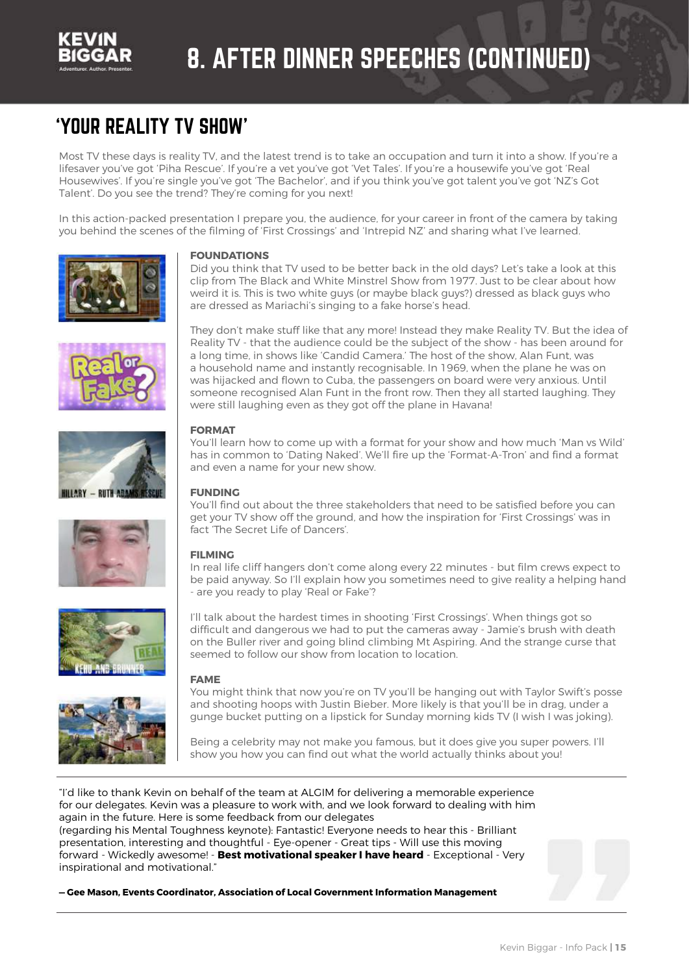

## 8. AFTER DINNER SPEECHES (CONTINUED)

### 'YOUR REALITY TV SHOW'

Most TV these days is reality TV, and the latest trend is to take an occupation and turn it into a show. If you're a lifesaver you've got 'Piha Rescue'. If you're a vet you've got 'Vet Tales'. If you're a housewife you've got 'Real Housewives'. If you're single you've got 'The Bachelor', and if you think you've got talent you've got 'NZ's Got Talent'. Do you see the trend? They're coming for you next!

In this action-packed presentation I prepare you, the audience, for your career in front of the camera by taking you behind the scenes of the filming of 'First Crossings' and 'Intrepid NZ' and sharing what I've learned.













#### **FOUNDATIONS**

Did you think that TV used to be better back in the old days? Let's take a look at this clip from The Black and White Minstrel Show from 1977. Just to be clear about how weird it is. This is two white guys (or maybe black guys?) dressed as black guys who are dressed as Mariachi's singing to a fake horse's head.

They don't make stuff like that any more! Instead they make Reality TV. But the idea of Reality TV - that the audience could be the subject of the show - has been around for a long time, in shows like 'Candid Camera.' The host of the show, Alan Funt, was a household name and instantly recognisable. In 1969, when the plane he was on was hijacked and flown to Cuba, the passengers on board were very anxious. Until someone recognised Alan Funt in the front row. Then they all started laughing. They were still laughing even as they got off the plane in Havana!

#### **FORMAT**

You'll learn how to come up with a format for your show and how much 'Man vs Wild' has in common to 'Dating Naked'. We'll fire up the 'Format-A-Tron' and find a format and even a name for your new show.

#### **FUNDING**

You'll find out about the three stakeholders that need to be satisfied before you can get your TV show off the ground, and how the inspiration for 'First Crossings' was in fact 'The Secret Life of Dancers'.

#### **FILMING**

In real life cliff hangers don't come along every 22 minutes - but film crews expect to be paid anyway. So I'll explain how you sometimes need to give reality a helping hand - are you ready to play 'Real or Fake'?

I'll talk about the hardest times in shooting 'First Crossings'. When things got so difficult and dangerous we had to put the cameras away - Jamie's brush with death on the Buller river and going blind climbing Mt Aspiring. And the strange curse that seemed to follow our show from location to location.

#### **FAME**

You might think that now you're on TV you'll be hanging out with Taylor Swift's posse and shooting hoops with Justin Bieber. More likely is that you'll be in drag, under a gunge bucket putting on a lipstick for Sunday morning kids TV (I wish I was joking).

Being a celebrity may not make you famous, but it does give you super powers. I'll show you how you can find out what the world actually thinks about you!

"I'd like to thank Kevin on behalf of the team at ALGIM for delivering a memorable experience for our delegates. Kevin was a pleasure to work with, and we look forward to dealing with him again in the future. Here is some feedback from our delegates (regarding his Mental Toughness keynote): Fantastic! Everyone needs to hear this - Brilliant presentation, interesting and thoughtful - Eye-opener - Great tips - Will use this moving forward - Wickedly awesome! - **Best motivational speaker I have heard** - Exceptional - Very inspirational and motivational."

**— Gee Mason, Events Coordinator, Association of Local Government Information Management**

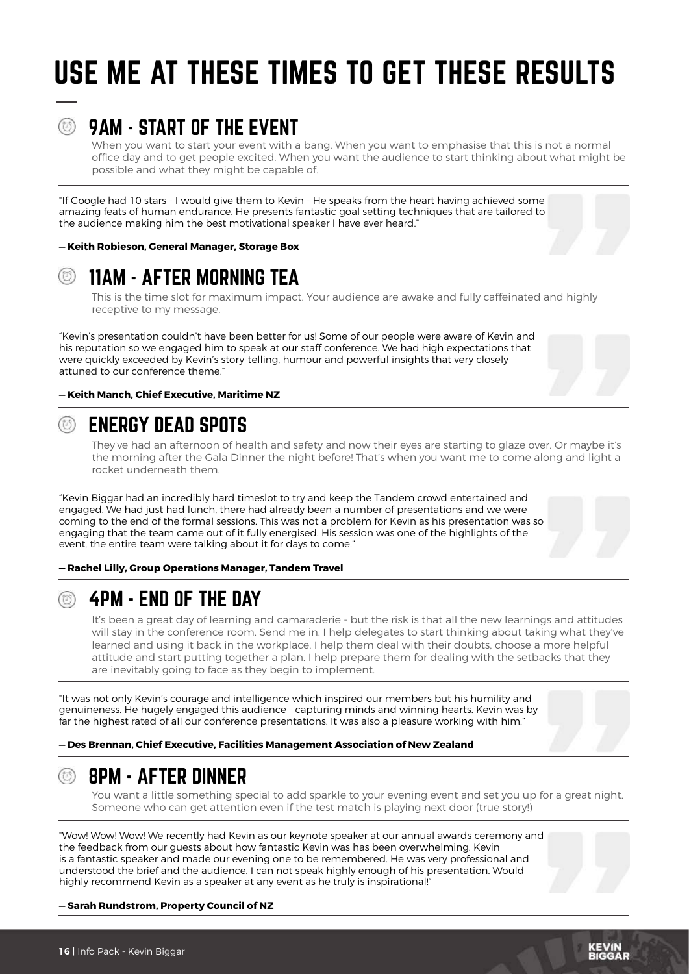## USE ME AT THESE TIMES TO GET THESE RESULTS

### 9AM - START OF THE EVENT

When you want to start your event with a bang. When you want to emphasise that this is not a normal office day and to get people excited. When you want the audience to start thinking about what might be possible and what they might be capable of.

"If Google had 10 stars - I would give them to Kevin - He speaks from the heart having achieved some amazing feats of human endurance. He presents fantastic goal setting techniques that are tailored to the audience making him the best motivational speaker I have ever heard."

**— Keith Robieson, General Manager, Storage Box** 



This is the time slot for maximum impact. Your audience are awake and fully caffeinated and highly receptive to my message.

"Kevin's presentation couldn't have been better for us! Some of our people were aware of Kevin and his reputation so we engaged him to speak at our staff conference. We had high expectations that were quickly exceeded by Kevin's story-telling, humour and powerful insights that very closely attuned to our conference theme."



#### **— Keith Manch, Chief Executive, Maritime NZ**

### ENERGY DEAD SPOTS

They've had an afternoon of health and safety and now their eyes are starting to glaze over. Or maybe it's the morning after the Gala Dinner the night before! That's when you want me to come along and light a rocket underneath them.

"Kevin Biggar had an incredibly hard timeslot to try and keep the Tandem crowd entertained and engaged. We had just had lunch, there had already been a number of presentations and we were coming to the end of the formal sessions. This was not a problem for Kevin as his presentation was so engaging that the team came out of it fully energised. His session was one of the highlights of the event, the entire team were talking about it for days to come."

**— Rachel Lilly, Group Operations Manager, Tandem Travel** 



### 4PM - END OF THE DAY

It's been a great day of learning and camaraderie - but the risk is that all the new learnings and attitudes will stay in the conference room. Send me in. I help delegates to start thinking about taking what they've learned and using it back in the workplace. I help them deal with their doubts, choose a more helpful attitude and start putting together a plan. I help prepare them for dealing with the setbacks that they are inevitably going to face as they begin to implement.

"It was not only Kevin's courage and intelligence which inspired our members but his humility and genuineness. He hugely engaged this audience - capturing minds and winning hearts. Kevin was by far the highest rated of all our conference presentations. It was also a pleasure working with him."

**— Des Brennan, Chief Executive, Facilities Management Association of New Zealand** 



#### 8PM - AFTER DINNER

You want a little something special to add sparkle to your evening event and set you up for a great night. Someone who can get attention even if the test match is playing next door (true story!)

"Wow! Wow! Wow! We recently had Kevin as our keynote speaker at our annual awards ceremony and the feedback from our guests about how fantastic Kevin was has been overwhelming. Kevin is a fantastic speaker and made our evening one to be remembered. He was very professional and understood the brief and the audience. I can not speak highly enough of his presentation. Would highly recommend Kevin as a speaker at any event as he truly is inspirational!"

#### **— Sarah Rundstrom, Property Council of NZ**